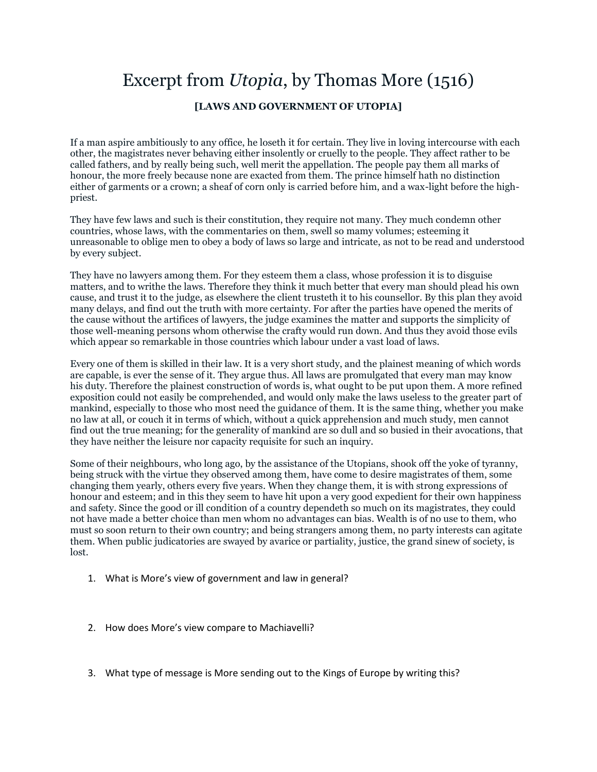## Excerpt from *Utopia*, by Thomas More (1516) **[LAWS AND GOVERNMENT OF UTOPIA]**

If a man aspire ambitiously to any office, he loseth it for certain. They live in loving intercourse with each other, the magistrates never behaving either insolently or cruelly to the people. They affect rather to be called fathers, and by really being such, well merit the appellation. The people pay them all marks of honour, the more freely because none are exacted from them. The prince himself hath no distinction either of garments or a crown; a sheaf of corn only is carried before him, and a wax-light before the highpriest.

They have few laws and such is their constitution, they require not many. They much condemn other countries, whose laws, with the commentaries on them, swell so mamy volumes; esteeming it unreasonable to oblige men to obey a body of laws so large and intricate, as not to be read and understood by every subject.

They have no lawyers among them. For they esteem them a class, whose profession it is to disguise matters, and to writhe the laws. Therefore they think it much better that every man should plead his own cause, and trust it to the judge, as elsewhere the client trusteth it to his counsellor. By this plan they avoid many delays, and find out the truth with more certainty. For after the parties have opened the merits of the cause without the artifices of lawyers, the judge examines the matter and supports the simplicity of those well-meaning persons whom otherwise the crafty would run down. And thus they avoid those evils which appear so remarkable in those countries which labour under a vast load of laws.

Every one of them is skilled in their law. It is a very short study, and the plainest meaning of which words are capable, is ever the sense of it. They argue thus. All laws are promulgated that every man may know his duty. Therefore the plainest construction of words is, what ought to be put upon them. A more refined exposition could not easily be comprehended, and would only make the laws useless to the greater part of mankind, especially to those who most need the guidance of them. It is the same thing, whether you make no law at all, or couch it in terms of which, without a quick apprehension and much study, men cannot find out the true meaning; for the generality of mankind are so dull and so busied in their avocations, that they have neither the leisure nor capacity requisite for such an inquiry.

Some of their neighbours, who long ago, by the assistance of the Utopians, shook off the yoke of tyranny, being struck with the virtue they observed among them, have come to desire magistrates of them, some changing them yearly, others every five years. When they change them, it is with strong expressions of honour and esteem; and in this they seem to have hit upon a very good expedient for their own happiness and safety. Since the good or ill condition of a country dependeth so much on its magistrates, they could not have made a better choice than men whom no advantages can bias. Wealth is of no use to them, who must so soon return to their own country; and being strangers among them, no party interests can agitate them. When public judicatories are swayed by avarice or partiality, justice, the grand sinew of society, is lost.

- 1. What is More's view of government and law in general?
- 2. How does More's view compare to Machiavelli?
- 3. What type of message is More sending out to the Kings of Europe by writing this?